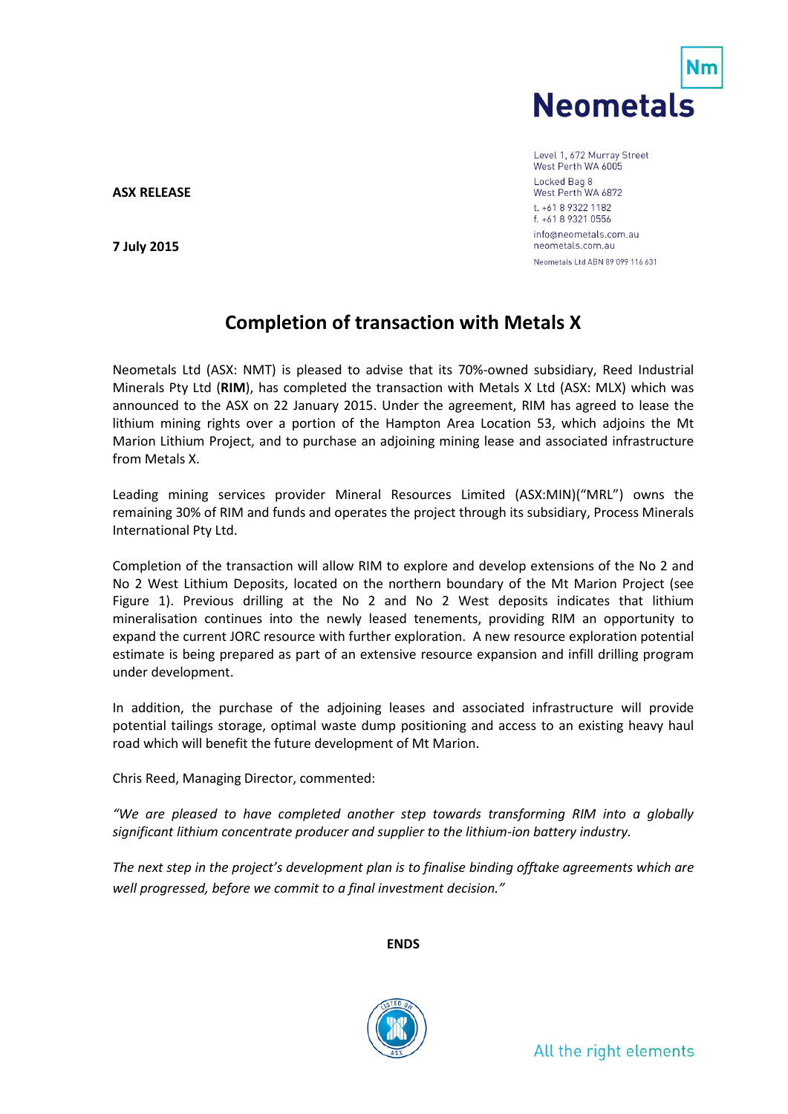

Level 1, 672 Murray Street West Perth WA 6005 Locked Bag 8 West Perth WA 6872 t. +61 8 9322 1182 f. +61 8 9321 0556 info@neometals.com.au neometals.com.au Neometals Ltd ABN 89 099 116 631

**ASX RELEASE**

**7 July 2015**

## **Completion of transaction with Metals X**

Neometals Ltd (ASX: NMT) is pleased to advise that its 70%-owned subsidiary, Reed Industrial Minerals Pty Ltd (**RIM**), has completed the transaction with Metals X Ltd (ASX: MLX) which was announced to the ASX on 22 January 2015. Under the agreement, RIM has agreed to lease the lithium mining rights over a portion of the Hampton Area Location 53, which adjoins the Mt Marion Lithium Project, and to purchase an adjoining mining lease and associated infrastructure from Metals X.

Leading mining services provider Mineral Resources Limited (ASX:MIN)("MRL") owns the remaining 30% of RIM and funds and operates the project through its subsidiary, Process Minerals International Pty Ltd.

Completion of the transaction will allow RIM to explore and develop extensions of the No 2 and No 2 West Lithium Deposits, located on the northern boundary of the Mt Marion Project (see Figure 1). Previous drilling at the No 2 and No 2 West deposits indicates that lithium mineralisation continues into the newly leased tenements, providing RIM an opportunity to expand the current JORC resource with further exploration. A new resource exploration potential estimate is being prepared as part of an extensive resource expansion and infill drilling program under development.

In addition, the purchase of the adjoining leases and associated infrastructure will provide potential tailings storage, optimal waste dump positioning and access to an existing heavy haul road which will benefit the future development of Mt Marion.

Chris Reed, Managing Director, commented:

*"We are pleased to have completed another step towards transforming RIM into a globally significant lithium concentrate producer and supplier to the lithium-ion battery industry.*

*The next step in the project's development plan is to finalise binding offtake agreements which are well progressed, before we commit to a final investment decision."*

**ENDS**

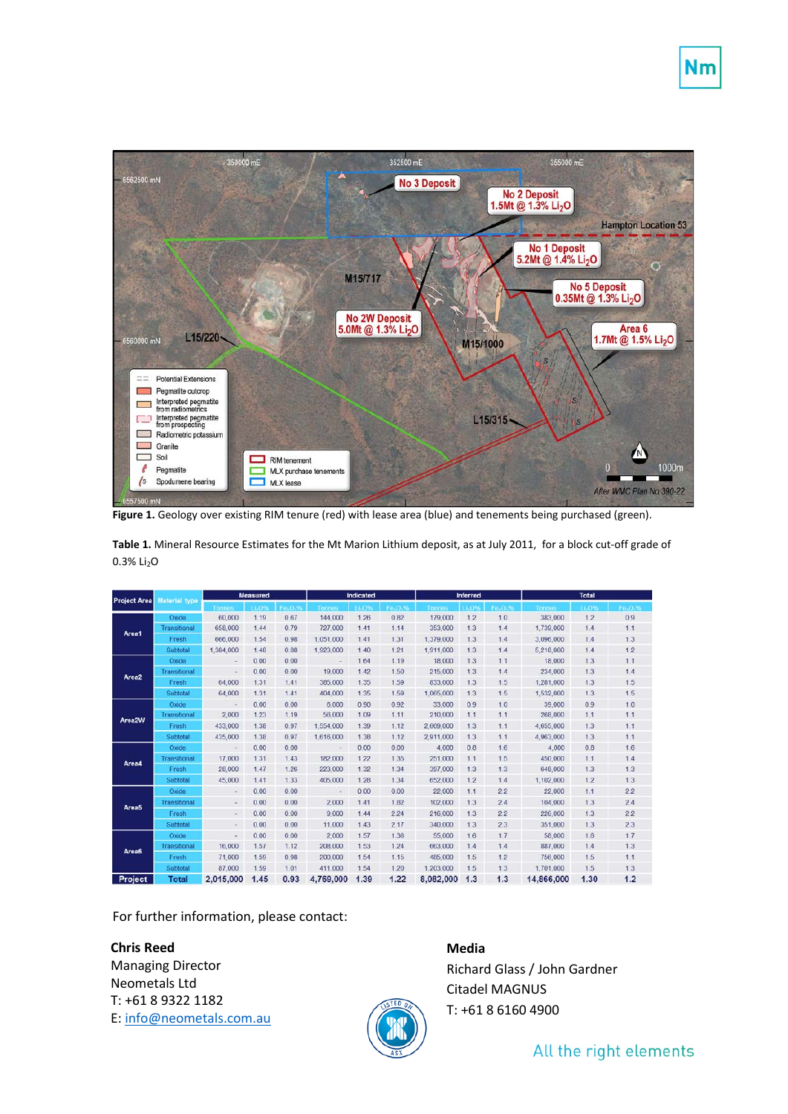

**Figure 1.** Geology over existing RIM tenure (red) with lease area (blue) and tenements being purchased (green).

**Table 1.** Mineral Resource Estimates for the Mt Marion Lithium deposit, as at July 2011, for a block cut-off grade of 0.3% Li<sub>2</sub>O

| <b>Project Area</b> | <b>Material type</b> | <b>Measured</b> |             |           | Indicated                |       |        | <b>Inferred</b> |            |           | <b>Total</b>  |             |        |
|---------------------|----------------------|-----------------|-------------|-----------|--------------------------|-------|--------|-----------------|------------|-----------|---------------|-------------|--------|
|                     |                      | <b>Tonnes</b>   | <b>LLO9</b> | $F = 0.0$ | <b>Tonnes</b>            | 11.0% | Fa.O.% | Tonnes          | <b>LO9</b> | $F = 0.9$ | <b>Tonnes</b> | <b>LLON</b> | Fe-0.% |
| Area1               | Oxide                | 60,000          | 1.19        | 0.67      | 144,000                  | 1.26  | 0.82   | 179,000         | 1.2        | 1.0       | 383,000       | 12          | 0.9    |
|                     | Transitional         | 658,000         | 1.44        | 0.79      | 727.000                  | 1.41  | 1.14   | 353.000         | 1.3        | 1.4       | 1.739.000     | 1.4         | 1.1    |
|                     | Fresh                | 666,000         | 1.54        | 0.98      | 1,051,000                | 1.41  | 1.31   | 1,379,000       | 1.3        | 1.4       | 3,096,000     | 1.4         | 1.3    |
|                     | Subtotal             | 1,384,000       | 1.48        | 0.88      | 1,923,000                | 1.40  | 1.21   | 1,911,000       | 13         | 1.4       | 5,218,000     | 1.4         | 1.2    |
| Area <sub>2</sub>   | Oxide                |                 | 0.00        | 0.00      |                          | 1.64  | 1.19   | 18,000          | 1.3        | 1.1       | 18,000        | 1.3         | 1.1    |
|                     | Transitional         | $\sim$          | 0.00        | 0.00      | 19,000                   | 1.42  | 1.50   | 215,000         | 1.3        | 1.4       | 234,000       | 1.3         | 1.4    |
|                     | Fresh                | 64,000          | 1.31        | 1.41      | 385,000                  | 1.35  | 1.59   | 833,000         | 1.3        | 1.5       | 1,281,000     | 1.3         | 1.5    |
|                     | Subtotal             | 64,000          | 1.31        | 1.41      | 404,000                  | 1.35  | 1.59   | 1,065,000       | 1.3        | 1.5       | 1,532,000     | 1.3         | 1.5    |
| Area2W              | Oxide                |                 | 0.00        | 0.00      | 6.000                    | 0.90  | 0.92   | 33,000          | 0.9        | 1.0       | 39,000        | 0.9         | 1.0    |
|                     | Transitional         | 2.000           | 1.23        | 1.19      | 56,000                   | 1.09  | 1.11   | 210,000         | 1.1        | 1.1       | 268,000       | 1.1         | 1.1    |
|                     | Fresh                | 433,000         | 1.38        | 0.97      | 1,554,000                | 1.39  | 1.12   | 2,669,000       | 1.3        | 1.1       | 4,655,000     | 1.3         | 1.1    |
|                     | Subtotal             | 435,000         | 1.38        | 0.97      | 1,616,000                | 1.38  | 1.12   | 2,911,000       | 1.3        | 1.1       | 4,963,000     | 1.3         | 1.1    |
| Area4               | Oxide                | $\sim$          | 0.00        | 0.00      | $\sim$                   | 0.00  | 0.00   | 4,000           | 0.8        | 1.6       | 4.000         | 0.8         | 1.6    |
|                     | Transitional         | 17,000          | 1.31        | 1.43      | 182,000                  | 1.22  | 1.35   | 251,000         | 1.1        | 1.5       | 450,000       | 1.1         | 1.4    |
|                     | Fresh                | 28,000          | 1.47        | 1.26      | 223,000                  | 1.32  | 1.34   | 397,000         | 1.3        | 1.3       | 648,000       | 1.3         | 1.3    |
|                     | Subtotal             | 45,000          | 1.41        | 1.33      | 405,000                  | 1.28  | 1.34   | 652,000         | 1.2        | 1.4       | 1,102,000     | 1.2         | 1.3    |
| Area5               | Oxide                | $\sim$          | 0.00        | 0.00      | $\overline{\phantom{a}}$ | 0.00  | 0.00   | 22,000          | 1.1        | 2.2       | 22,000        | 1.1         | 2.2    |
|                     | Transitional         | ÷               | 0.00        | 0.00      | 2,000                    | 1.41  | 1.82   | 102,000         | 1.3        | 2.4       | 104,000       | 1.3         | 2.4    |
|                     | Fresh                | $\sim$          | 0.00        | 0.00      | 9.000                    | 1.44  | 2.24   | 216,000         | 1.3        | 2.2       | 226,000       | 1.3         | 2.2    |
|                     | Subtotal             | é.              | 0.00        | 0.00      | 11,000                   | 1.43  | 2.17   | 340,000         | 1.3        | 2.3       | 351,000       | 1.3         | 2.3    |
| Area6               | Oxide                | ÷               | 0.00        | 0.00      | 2,000                    | 1.57  | 1.36   | 55,000          | 1.6        | 1.7       | 58.000        | 1.6         | 1.7    |
|                     | Transitional         | 16,000          | 1.57        | 1.12      | 208,000                  | 1.53  | 1.24   | 663.000         | 1.4        | 1.4       | 887,000       | 1.4         | 1.3    |
|                     | Fresh                | 71,000          | 1.59        | 0.98      | 200,000                  | 1.54  | 1.15   | 485,000         | 1.5        | 1.2       | 756,000       | 1.5         | 1.1    |
|                     | Subtotal             | 87,000          | 1.59        | 1.01      | 411.000                  | 1.54  | 1.20   | 1.203.000       | 1.5        | 1.3       | 1,701,000     | 1.5         | 1.3    |
| Project             | <b>Total</b>         | 2.015.000       | 1.45        | 0.93      | 4.769.000                | 1.39  | 1.22   | 8.082.000       | 1.3        | 1.3       | 14.866.000    | 1.30        | 1.2    |

For further information, please contact:

**Chris Reed** Managing Director Neometals Ltd T: +61 8 9322 1182 E: [info@neometals.com.au](mailto:info@neometals.com.au)

## **Media**

Richard Glass / John Gardner Citadel MAGNUS T: +61 8 6160 4900

## All the right elements